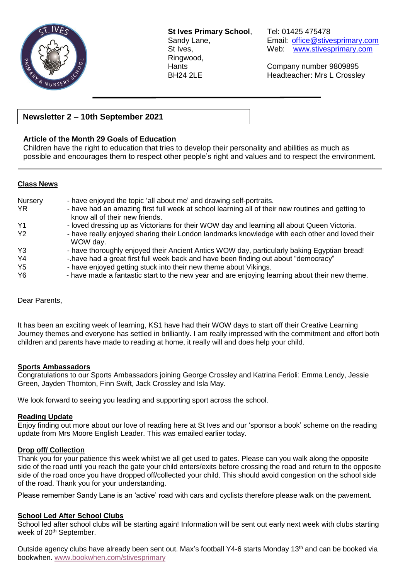

**St Ives Primary School**, Tel: 01425 475478 Ringwood,

Sandy Lane, **Email:** [office@stivesprimary.com](mailto:office@stivesprimary.com) St Ives, Web: [www.stivesprimary.com](http://www.stives.dorset.sch.uk/)

Hants Company number 9809895 BH24 2LE Headteacher: Mrs L Crossley

## **Newsletter 2 – 10th September 2021**

## **Article of the Month 29 Goals of Education**

Children have the right to education that tries to develop their personality and abilities as much as possible and encourages them to respect other people's right and values and to respect the environment.

## **Class News**

| Nursery        | - have enjoyed the topic 'all about me' and drawing self-portraits.                                                                 |
|----------------|-------------------------------------------------------------------------------------------------------------------------------------|
| YR.            | - have had an amazing first full week at school learning all of their new routines and getting to<br>know all of their new friends. |
| Y <sub>1</sub> | - loved dressing up as Victorians for their WOW day and learning all about Queen Victoria.                                          |
| Y <sub>2</sub> | - have really enjoyed sharing their London landmarks knowledge with each other and loved their<br>WOW day.                          |
| Y <sub>3</sub> | - have thoroughly enjoyed their Ancient Antics WOW day, particularly baking Egyptian bread!                                         |
| Y4             | -.have had a great first full week back and have been finding out about "democracy"                                                 |
| Y <sub>5</sub> | - have enjoyed getting stuck into their new theme about Vikings.                                                                    |
| <b>Y6</b>      | - have made a fantastic start to the new year and are enjoying learning about their new theme.                                      |

Dear Parents,

It has been an exciting week of learning, KS1 have had their WOW days to start off their Creative Learning Journey themes and everyone has settled in brilliantly. I am really impressed with the commitment and effort both children and parents have made to reading at home, it really will and does help your child.

# **Sports Ambassadors**

Congratulations to our Sports Ambassadors joining George Crossley and Katrina Ferioli: Emma Lendy, Jessie Green, Jayden Thornton, Finn Swift, Jack Crossley and Isla May.

We look forward to seeing you leading and supporting sport across the school.

#### **Reading Update**

Enjoy finding out more about our love of reading here at St Ives and our 'sponsor a book' scheme on the reading update from Mrs Moore English Leader. This was emailed earlier today.

#### **Drop off/ Collection**

Thank you for your patience this week whilst we all get used to gates. Please can you walk along the opposite side of the road until you reach the gate your child enters/exits before crossing the road and return to the opposite side of the road once you have dropped off/collected your child. This should avoid congestion on the school side of the road. Thank you for your understanding.

Please remember Sandy Lane is an 'active' road with cars and cyclists therefore please walk on the pavement.

## **School Led After School Clubs**

School led after school clubs will be starting again! Information will be sent out early next week with clubs starting week of 20<sup>th</sup> September.

Outside agency clubs have already been sent out. Max's football Y4-6 starts Monday 13th and can be booked via bookwhen. [www.bookwhen.com/stivesprimary](http://www.bookwhen.com/stivesprimary)